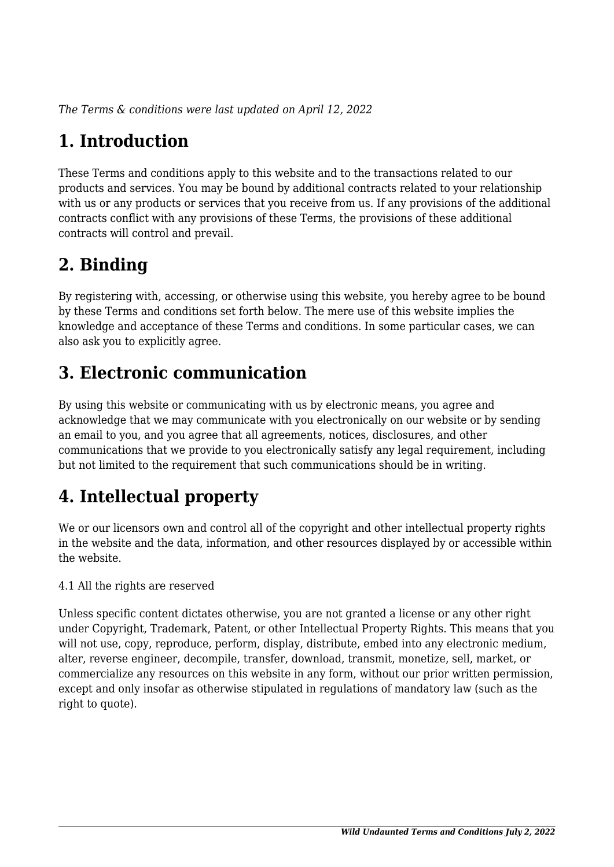*The Terms & conditions were last updated on April 12, 2022*

# **1. Introduction**

These Terms and conditions apply to this website and to the transactions related to our products and services. You may be bound by additional contracts related to your relationship with us or any products or services that you receive from us. If any provisions of the additional contracts conflict with any provisions of these Terms, the provisions of these additional contracts will control and prevail.

# **2. Binding**

By registering with, accessing, or otherwise using this website, you hereby agree to be bound by these Terms and conditions set forth below. The mere use of this website implies the knowledge and acceptance of these Terms and conditions. In some particular cases, we can also ask you to explicitly agree.

# **3. Electronic communication**

By using this website or communicating with us by electronic means, you agree and acknowledge that we may communicate with you electronically on our website or by sending an email to you, and you agree that all agreements, notices, disclosures, and other communications that we provide to you electronically satisfy any legal requirement, including but not limited to the requirement that such communications should be in writing.

# **4. Intellectual property**

We or our licensors own and control all of the copyright and other intellectual property rights in the website and the data, information, and other resources displayed by or accessible within the website.

4.1 All the rights are reserved

Unless specific content dictates otherwise, you are not granted a license or any other right under Copyright, Trademark, Patent, or other Intellectual Property Rights. This means that you will not use, copy, reproduce, perform, display, distribute, embed into any electronic medium, alter, reverse engineer, decompile, transfer, download, transmit, monetize, sell, market, or commercialize any resources on this website in any form, without our prior written permission, except and only insofar as otherwise stipulated in regulations of mandatory law (such as the right to quote).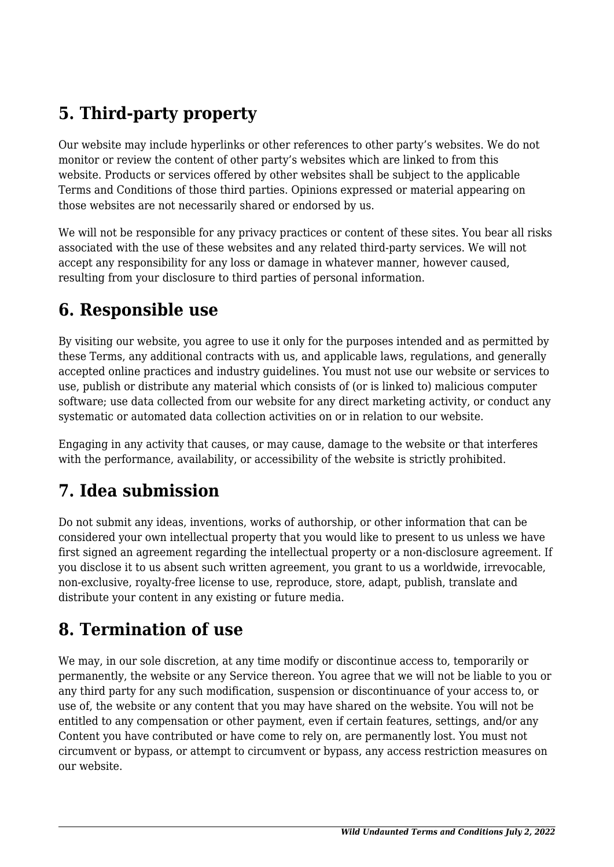# **5. Third-party property**

Our website may include hyperlinks or other references to other party's websites. We do not monitor or review the content of other party's websites which are linked to from this website. Products or services offered by other websites shall be subject to the applicable Terms and Conditions of those third parties. Opinions expressed or material appearing on those websites are not necessarily shared or endorsed by us.

We will not be responsible for any privacy practices or content of these sites. You bear all risks associated with the use of these websites and any related third-party services. We will not accept any responsibility for any loss or damage in whatever manner, however caused, resulting from your disclosure to third parties of personal information.

#### **6. Responsible use**

By visiting our website, you agree to use it only for the purposes intended and as permitted by these Terms, any additional contracts with us, and applicable laws, regulations, and generally accepted online practices and industry guidelines. You must not use our website or services to use, publish or distribute any material which consists of (or is linked to) malicious computer software; use data collected from our website for any direct marketing activity, or conduct any systematic or automated data collection activities on or in relation to our website.

Engaging in any activity that causes, or may cause, damage to the website or that interferes with the performance, availability, or accessibility of the website is strictly prohibited.

## **7. Idea submission**

Do not submit any ideas, inventions, works of authorship, or other information that can be considered your own intellectual property that you would like to present to us unless we have first signed an agreement regarding the intellectual property or a non-disclosure agreement. If you disclose it to us absent such written agreement, you grant to us a worldwide, irrevocable, non-exclusive, royalty-free license to use, reproduce, store, adapt, publish, translate and distribute your content in any existing or future media.

#### **8. Termination of use**

We may, in our sole discretion, at any time modify or discontinue access to, temporarily or permanently, the website or any Service thereon. You agree that we will not be liable to you or any third party for any such modification, suspension or discontinuance of your access to, or use of, the website or any content that you may have shared on the website. You will not be entitled to any compensation or other payment, even if certain features, settings, and/or any Content you have contributed or have come to rely on, are permanently lost. You must not circumvent or bypass, or attempt to circumvent or bypass, any access restriction measures on our website.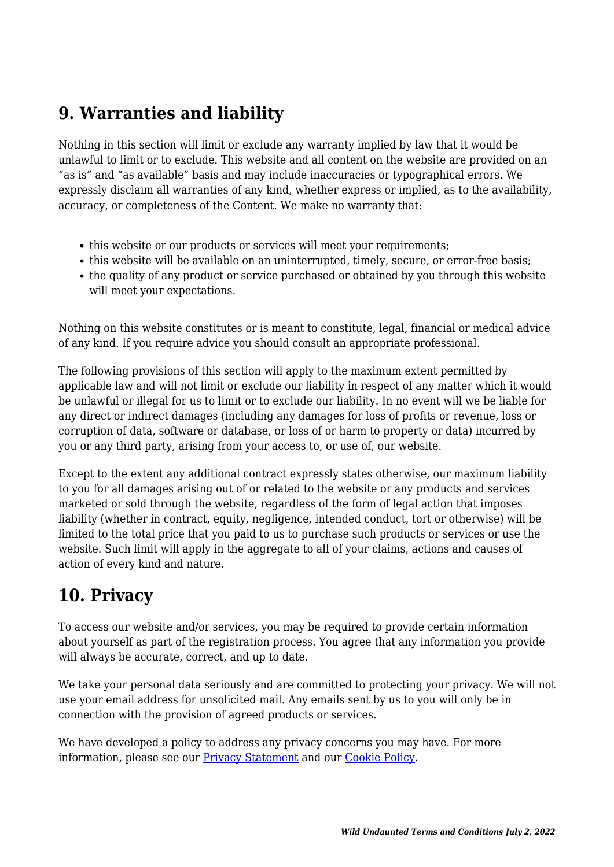#### **9. Warranties and liability**

Nothing in this section will limit or exclude any warranty implied by law that it would be unlawful to limit or to exclude. This website and all content on the website are provided on an "as is" and "as available" basis and may include inaccuracies or typographical errors. We expressly disclaim all warranties of any kind, whether express or implied, as to the availability, accuracy, or completeness of the Content. We make no warranty that:

- this website or our products or services will meet your requirements:
- this website will be available on an uninterrupted, timely, secure, or error-free basis;
- the quality of any product or service purchased or obtained by you through this website will meet your expectations.

Nothing on this website constitutes or is meant to constitute, legal, financial or medical advice of any kind. If you require advice you should consult an appropriate professional.

The following provisions of this section will apply to the maximum extent permitted by applicable law and will not limit or exclude our liability in respect of any matter which it would be unlawful or illegal for us to limit or to exclude our liability. In no event will we be liable for any direct or indirect damages (including any damages for loss of profits or revenue, loss or corruption of data, software or database, or loss of or harm to property or data) incurred by you or any third party, arising from your access to, or use of, our website.

Except to the extent any additional contract expressly states otherwise, our maximum liability to you for all damages arising out of or related to the website or any products and services marketed or sold through the website, regardless of the form of legal action that imposes liability (whether in contract, equity, negligence, intended conduct, tort or otherwise) will be limited to the total price that you paid to us to purchase such products or services or use the website. Such limit will apply in the aggregate to all of your claims, actions and causes of action of every kind and nature.

#### **10. Privacy**

To access our website and/or services, you may be required to provide certain information about yourself as part of the registration process. You agree that any information you provide will always be accurate, correct, and up to date.

We take your personal data seriously and are committed to protecting your privacy. We will not use your email address for unsolicited mail. Any emails sent by us to you will only be in connection with the provision of agreed products or services.

We have developed a policy to address any privacy concerns you may have. For more information, please see our Privacy Statement and our Cookie Policy.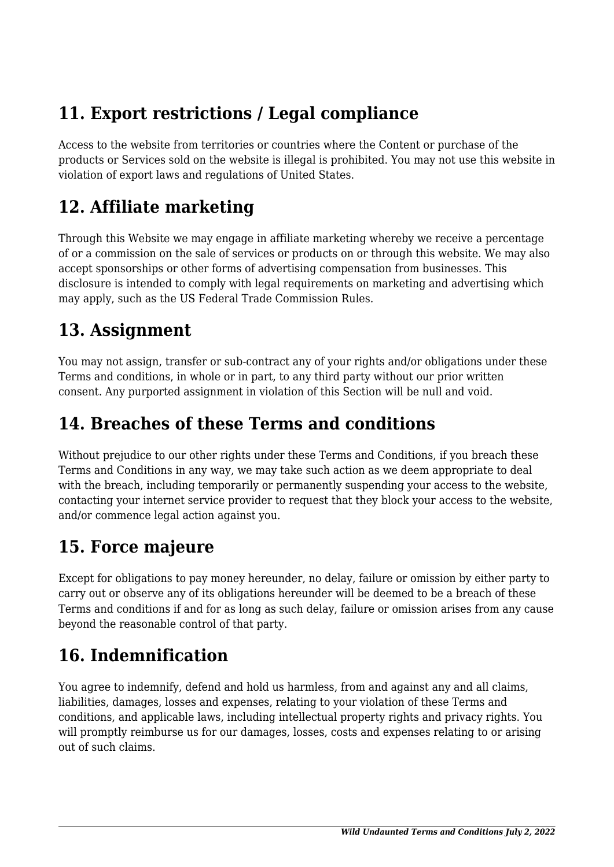## **11. Export restrictions / Legal compliance**

Access to the website from territories or countries where the Content or purchase of the products or Services sold on the website is illegal is prohibited. You may not use this website in violation of export laws and regulations of United States.

### **12. Affiliate marketing**

Through this Website we may engage in affiliate marketing whereby we receive a percentage of or a commission on the sale of services or products on or through this website. We may also accept sponsorships or other forms of advertising compensation from businesses. This disclosure is intended to comply with legal requirements on marketing and advertising which may apply, such as the US Federal Trade Commission Rules.

#### **13. Assignment**

You may not assign, transfer or sub-contract any of your rights and/or obligations under these Terms and conditions, in whole or in part, to any third party without our prior written consent. Any purported assignment in violation of this Section will be null and void.

#### **14. Breaches of these Terms and conditions**

Without prejudice to our other rights under these Terms and Conditions, if you breach these Terms and Conditions in any way, we may take such action as we deem appropriate to deal with the breach, including temporarily or permanently suspending your access to the website, contacting your internet service provider to request that they block your access to the website, and/or commence legal action against you.

## **15. Force majeure**

Except for obligations to pay money hereunder, no delay, failure or omission by either party to carry out or observe any of its obligations hereunder will be deemed to be a breach of these Terms and conditions if and for as long as such delay, failure or omission arises from any cause beyond the reasonable control of that party.

## **16. Indemnification**

You agree to indemnify, defend and hold us harmless, from and against any and all claims, liabilities, damages, losses and expenses, relating to your violation of these Terms and conditions, and applicable laws, including intellectual property rights and privacy rights. You will promptly reimburse us for our damages, losses, costs and expenses relating to or arising out of such claims.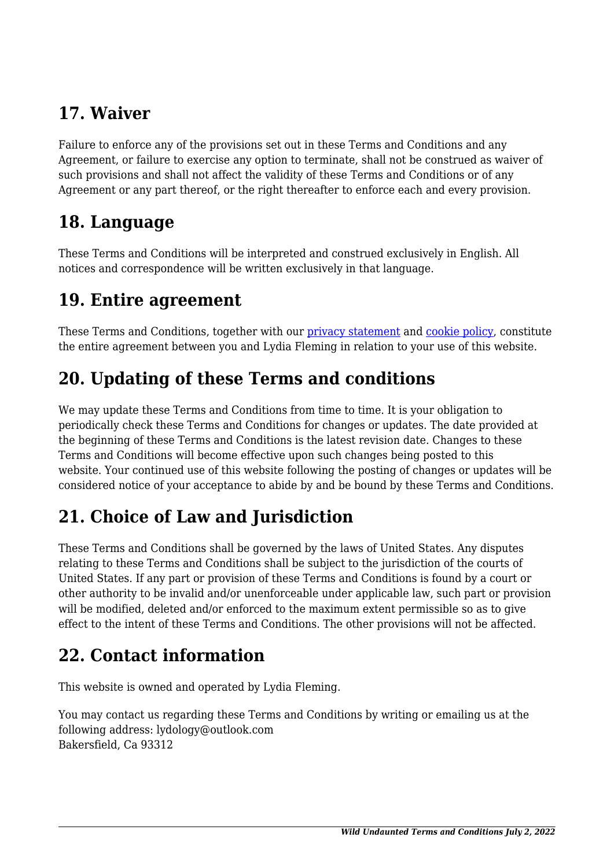### **17. Waiver**

Failure to enforce any of the provisions set out in these Terms and Conditions and any Agreement, or failure to exercise any option to terminate, shall not be construed as waiver of such provisions and shall not affect the validity of these Terms and Conditions or of any Agreement or any part thereof, or the right thereafter to enforce each and every provision.

#### **18. Language**

These Terms and Conditions will be interpreted and construed exclusively in English. All notices and correspondence will be written exclusively in that language.

#### **19. Entire agreement**

These Terms and Conditions, together with our privacy statement and cookie policy, constitute the entire agreement between you and Lydia Fleming in relation to your use of this website.

### **20. Updating of these Terms and conditions**

We may update these Terms and Conditions from time to time. It is your obligation to periodically check these Terms and Conditions for changes or updates. The date provided at the beginning of these Terms and Conditions is the latest revision date. Changes to these Terms and Conditions will become effective upon such changes being posted to this website. Your continued use of this website following the posting of changes or updates will be considered notice of your acceptance to abide by and be bound by these Terms and Conditions.

## **21. Choice of Law and Jurisdiction**

These Terms and Conditions shall be governed by the laws of United States. Any disputes relating to these Terms and Conditions shall be subject to the jurisdiction of the courts of United States. If any part or provision of these Terms and Conditions is found by a court or other authority to be invalid and/or unenforceable under applicable law, such part or provision will be modified, deleted and/or enforced to the maximum extent permissible so as to give effect to the intent of these Terms and Conditions. The other provisions will not be affected.

#### **22. Contact information**

This website is owned and operated by Lydia Fleming.

You may contact us regarding these Terms and Conditions by writing or emailing us at the following address: lydology@outlook.com Bakersfield, Ca 93312